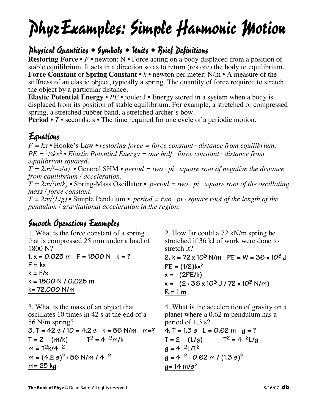## PhyzExamples: Simple Harmonic Motion

## Physical Quantities • Symbols • Units • Brief Definitions

**Restoring Force** • *F* • newton: N • Force acting on a body displaced from a position of stable equilibrium. It acts in a direction so as to return (restore) the body to equilibrium. **Force Constant** or **Spring Constant** • *k* • newton per meter: N/m • A measure of the stiffness of an elastic object, typically a spring. The quantity of force required to stretch the object by a particular distance.

**Elastic Potential Energy** • *PE* • joule: J • Energy stored in a system when a body is displaced from its position of stable equilibrium. For example, a stretched or compressed spring, a stretched rubber band, a stretched archer's bow.

**Period** • *T* • seconds: s • The time required for one cycle of a periodic motion.

## Equations

 $F = kx \cdot \text{Hooke's Law} \cdot \text{restoring force} = \text{force constant} \cdot \text{distance from equilibrium.}$  $PE = \frac{1}{2}kx^2$  • *Elastic Potential Energy = one half*  $\cdot$  *force constant*  $\cdot$  *distance from equilibrium squared.*

 $T = 2\pi\sqrt{-x/a}$  • General SHM • *period* = *two* · *pi* · *square root* of *negative the distance from equilibrium / acceleration.*

 $T = 2\pi \sqrt{\frac{m}{k}}$  • Spring-Mass Oscillator • *period* = *two* · *pi* · *square root of the oscillating mass / force constant.*

 $T = 2\pi\sqrt{L/g}$  • Simple Pendulum • *period* = *two* · *pi* · *square root of the length of the pendulum / gravitational acceleration in the region.*

## Smooth Operations Examples

1. What is the force constant of a spring that is compressed 25 mm under a load of 1800 N? **1. x = 0.025 m F = 1800 N k = ?**  $F = kx$  $k = F/x$ **k = 1800 N / 0.025 m**

**k= 72,000 N/m**

3. What is the mass of an object that oscillates 10 times in 42 s at the end of a 56 N/m spring? **3. T = 42 s / 10 = 4.2 s k = 56 N/m m=?**  $T = 2$  (m/k)  $T^2 = 4 \frac{2m}{k}$  $m = T^2k/4$  <sup>2</sup> **m = (4.2 s)<sup>2</sup> · 56 N/m / 4 <sup>2</sup> m= 25 kg**

2. How far could a 72 kN/m spring be stretched if 36 kJ of work were done to stretch it? **2. k = 72 x 103 N/m PE = W = 36 x 10<sup>3</sup> J PE = (1/2)kx2**  $x = (2PE/k)$  $x = (2 \cdot 36 \times 10^3 \text{ J} / 72 \times 10^3 \text{ N/m})$  $R = 1 m$ 

4. What is the acceleration of gravity on a planet where a 0.62 m pendulum has a period of 1.3 s? **4. T = 1.3 s L = 0.62 m g = ?**  $T = 2$   $(L/g)$   $T^2 = 4 \frac{2L/g}{g}$ **g = 4 2L/T2**

$$
g = 4
$$
  ${}^{2}L/T^{2}$   
\n $g = 4$   ${}^{2} \cdot 0.62$  m /  $(1.3 \text{ s})^{2}$   
\n $g = 14$  m/s<sup>2</sup>